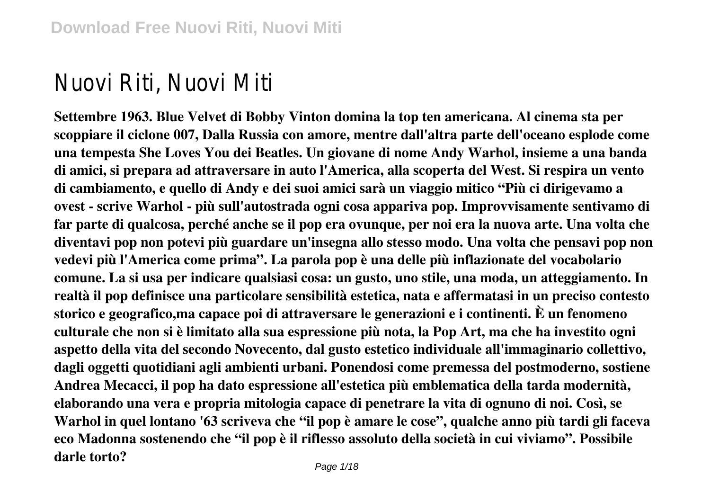# Nuovi Riti, Nuovi Miti

**Settembre 1963. Blue Velvet di Bobby Vinton domina la top ten americana. Al cinema sta per scoppiare il ciclone 007, Dalla Russia con amore, mentre dall'altra parte dell'oceano esplode come una tempesta She Loves You dei Beatles. Un giovane di nome Andy Warhol, insieme a una banda di amici, si prepara ad attraversare in auto l'America, alla scoperta del West. Si respira un vento di cambiamento, e quello di Andy e dei suoi amici sarà un viaggio mitico "Più ci dirigevamo a ovest - scrive Warhol - più sull'autostrada ogni cosa appariva pop. Improvvisamente sentivamo di far parte di qualcosa, perché anche se il pop era ovunque, per noi era la nuova arte. Una volta che diventavi pop non potevi più guardare un'insegna allo stesso modo. Una volta che pensavi pop non vedevi più l'America come prima". La parola pop è una delle più inflazionate del vocabolario comune. La si usa per indicare qualsiasi cosa: un gusto, uno stile, una moda, un atteggiamento. In realtà il pop definisce una particolare sensibilità estetica, nata e affermatasi in un preciso contesto storico e geografico,ma capace poi di attraversare le generazioni e i continenti. È un fenomeno culturale che non si è limitato alla sua espressione più nota, la Pop Art, ma che ha investito ogni aspetto della vita del secondo Novecento, dal gusto estetico individuale all'immaginario collettivo, dagli oggetti quotidiani agli ambienti urbani. Ponendosi come premessa del postmoderno, sostiene Andrea Mecacci, il pop ha dato espressione all'estetica più emblematica della tarda modernità, elaborando una vera e propria mitologia capace di penetrare la vita di ognuno di noi. Così, se Warhol in quel lontano '63 scriveva che "il pop è amare le cose", qualche anno più tardi gli faceva eco Madonna sostenendo che "il pop è il riflesso assoluto della società in cui viviamo". Possibile darle torto?**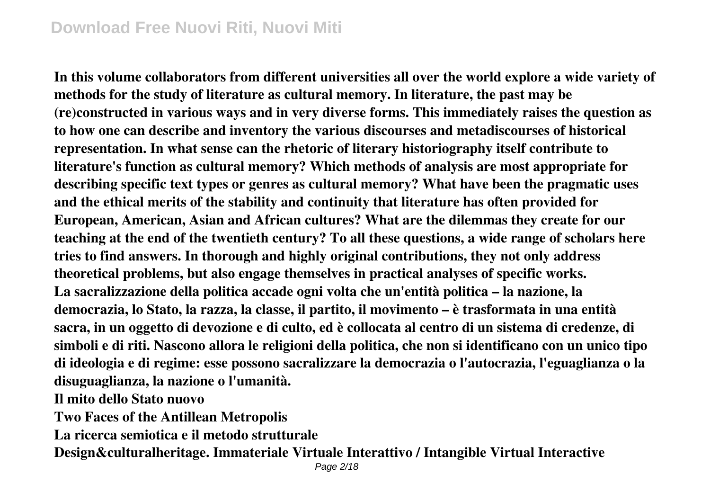### **Download Free Nuovi Riti, Nuovi Miti**

**In this volume collaborators from different universities all over the world explore a wide variety of methods for the study of literature as cultural memory. In literature, the past may be (re)constructed in various ways and in very diverse forms. This immediately raises the question as to how one can describe and inventory the various discourses and metadiscourses of historical representation. In what sense can the rhetoric of literary historiography itself contribute to literature's function as cultural memory? Which methods of analysis are most appropriate for describing specific text types or genres as cultural memory? What have been the pragmatic uses and the ethical merits of the stability and continuity that literature has often provided for European, American, Asian and African cultures? What are the dilemmas they create for our teaching at the end of the twentieth century? To all these questions, a wide range of scholars here tries to find answers. In thorough and highly original contributions, they not only address theoretical problems, but also engage themselves in practical analyses of specific works. La sacralizzazione della politica accade ogni volta che un'entità politica – la nazione, la democrazia, lo Stato, la razza, la classe, il partito, il movimento – è trasformata in una entità sacra, in un oggetto di devozione e di culto, ed è collocata al centro di un sistema di credenze, di simboli e di riti. Nascono allora le religioni della politica, che non si identificano con un unico tipo di ideologia e di regime: esse possono sacralizzare la democrazia o l'autocrazia, l'eguaglianza o la disuguaglianza, la nazione o l'umanità.**

**Il mito dello Stato nuovo**

**Two Faces of the Antillean Metropolis**

**La ricerca semiotica e il metodo strutturale**

**Design&culturalheritage. Immateriale Virtuale Interattivo / Intangible Virtual Interactive**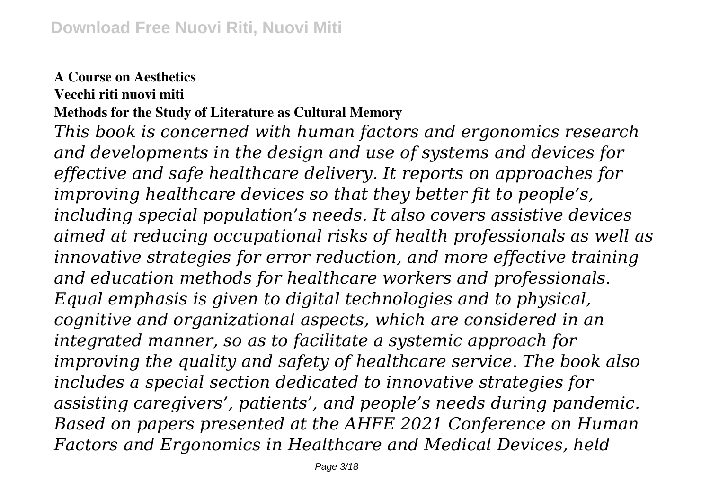#### **A Course on Aesthetics**

**Vecchi riti nuovi miti**

**Methods for the Study of Literature as Cultural Memory**

*This book is concerned with human factors and ergonomics research and developments in the design and use of systems and devices for effective and safe healthcare delivery. It reports on approaches for improving healthcare devices so that they better fit to people's, including special population's needs. It also covers assistive devices aimed at reducing occupational risks of health professionals as well as innovative strategies for error reduction, and more effective training and education methods for healthcare workers and professionals. Equal emphasis is given to digital technologies and to physical, cognitive and organizational aspects, which are considered in an integrated manner, so as to facilitate a systemic approach for improving the quality and safety of healthcare service. The book also includes a special section dedicated to innovative strategies for assisting caregivers', patients', and people's needs during pandemic. Based on papers presented at the AHFE 2021 Conference on Human Factors and Ergonomics in Healthcare and Medical Devices, held*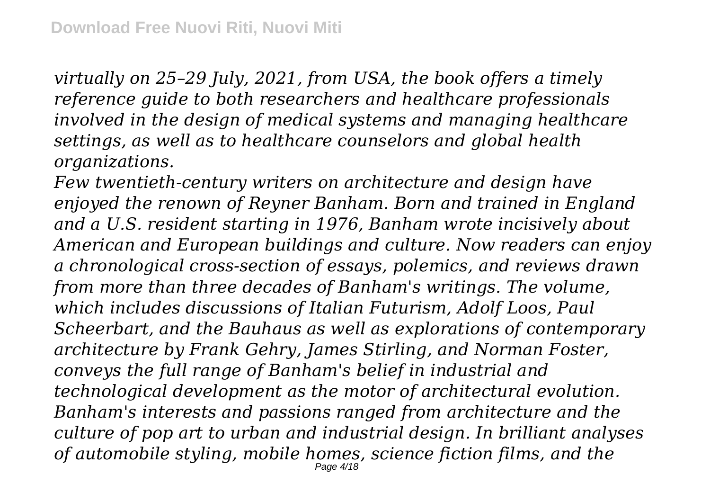*virtually on 25–29 July, 2021, from USA, the book offers a timely reference guide to both researchers and healthcare professionals involved in the design of medical systems and managing healthcare settings, as well as to healthcare counselors and global health organizations.*

*Few twentieth-century writers on architecture and design have enjoyed the renown of Reyner Banham. Born and trained in England and a U.S. resident starting in 1976, Banham wrote incisively about American and European buildings and culture. Now readers can enjoy a chronological cross-section of essays, polemics, and reviews drawn from more than three decades of Banham's writings. The volume, which includes discussions of Italian Futurism, Adolf Loos, Paul Scheerbart, and the Bauhaus as well as explorations of contemporary architecture by Frank Gehry, James Stirling, and Norman Foster, conveys the full range of Banham's belief in industrial and technological development as the motor of architectural evolution. Banham's interests and passions ranged from architecture and the culture of pop art to urban and industrial design. In brilliant analyses of automobile styling, mobile homes, science fiction films, and the* Page 4/18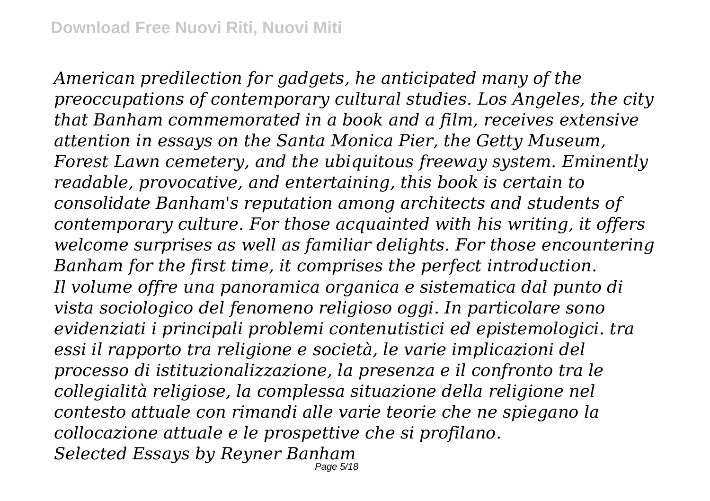*American predilection for gadgets, he anticipated many of the preoccupations of contemporary cultural studies. Los Angeles, the city that Banham commemorated in a book and a film, receives extensive attention in essays on the Santa Monica Pier, the Getty Museum, Forest Lawn cemetery, and the ubiquitous freeway system. Eminently readable, provocative, and entertaining, this book is certain to consolidate Banham's reputation among architects and students of contemporary culture. For those acquainted with his writing, it offers welcome surprises as well as familiar delights. For those encountering Banham for the first time, it comprises the perfect introduction. Il volume offre una panoramica organica e sistematica dal punto di vista sociologico del fenomeno religioso oggi. In particolare sono evidenziati i principali problemi contenutistici ed epistemologici. tra essi il rapporto tra religione e società, le varie implicazioni del processo di istituzionalizzazione, la presenza e il confronto tra le collegialità religiose, la complessa situazione della religione nel contesto attuale con rimandi alle varie teorie che ne spiegano la collocazione attuale e le prospettive che si profilano. Selected Essays by Reyner Banham*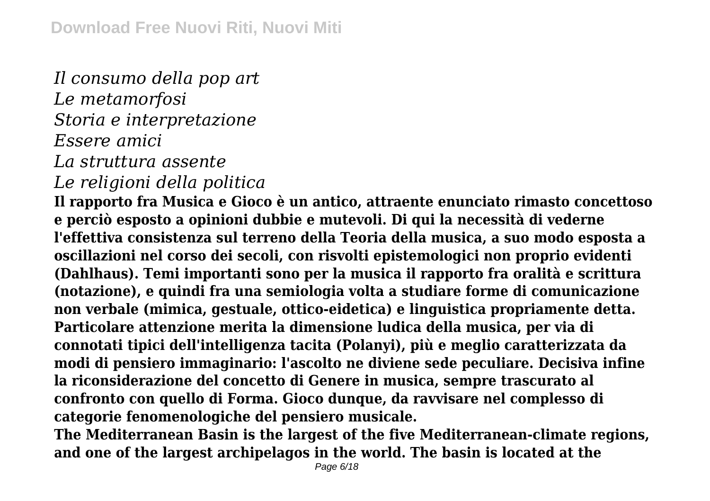*Il consumo della pop art Le metamorfosi Storia e interpretazione Essere amici La struttura assente*

## *Le religioni della politica*

**Il rapporto fra Musica e Gioco è un antico, attraente enunciato rimasto concettoso e perciò esposto a opinioni dubbie e mutevoli. Di qui la necessità di vederne l'effettiva consistenza sul terreno della Teoria della musica, a suo modo esposta a oscillazioni nel corso dei secoli, con risvolti epistemologici non proprio evidenti (Dahlhaus). Temi importanti sono per la musica il rapporto fra oralità e scrittura (notazione), e quindi fra una semiologia volta a studiare forme di comunicazione non verbale (mimica, gestuale, ottico-eidetica) e linguistica propriamente detta. Particolare attenzione merita la dimensione ludica della musica, per via di connotati tipici dell'intelligenza tacita (Polanyi), più e meglio caratterizzata da modi di pensiero immaginario: l'ascolto ne diviene sede peculiare. Decisiva infine la riconsiderazione del concetto di Genere in musica, sempre trascurato al confronto con quello di Forma. Gioco dunque, da ravvisare nel complesso di categorie fenomenologiche del pensiero musicale.**

**The Mediterranean Basin is the largest of the five Mediterranean-climate regions, and one of the largest archipelagos in the world. The basin is located at the**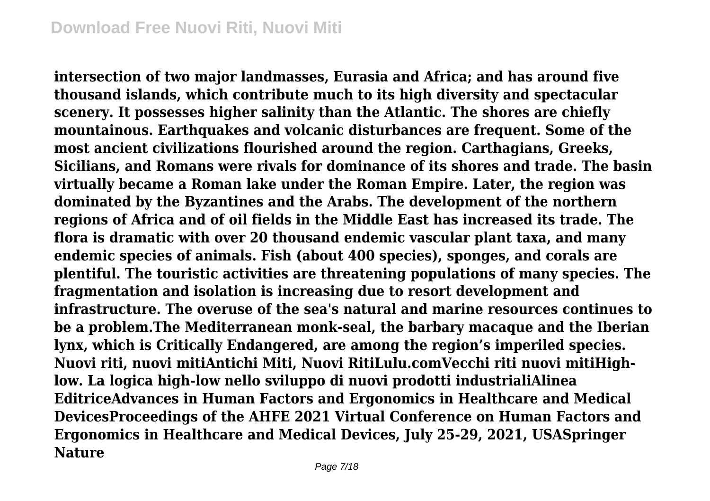**intersection of two major landmasses, Eurasia and Africa; and has around five thousand islands, which contribute much to its high diversity and spectacular scenery. It possesses higher salinity than the Atlantic. The shores are chiefly mountainous. Earthquakes and volcanic disturbances are frequent. Some of the most ancient civilizations flourished around the region. Carthagians, Greeks, Sicilians, and Romans were rivals for dominance of its shores and trade. The basin virtually became a Roman lake under the Roman Empire. Later, the region was dominated by the Byzantines and the Arabs. The development of the northern regions of Africa and of oil fields in the Middle East has increased its trade. The flora is dramatic with over 20 thousand endemic vascular plant taxa, and many endemic species of animals. Fish (about 400 species), sponges, and corals are plentiful. The touristic activities are threatening populations of many species. The fragmentation and isolation is increasing due to resort development and infrastructure. The overuse of the sea's natural and marine resources continues to be a problem.The Mediterranean monk-seal, the barbary macaque and the Iberian lynx, which is Critically Endangered, are among the region's imperiled species. Nuovi riti, nuovi mitiAntichi Miti, Nuovi RitiLulu.comVecchi riti nuovi mitiHighlow. La logica high-low nello sviluppo di nuovi prodotti industrialiAlinea EditriceAdvances in Human Factors and Ergonomics in Healthcare and Medical DevicesProceedings of the AHFE 2021 Virtual Conference on Human Factors and Ergonomics in Healthcare and Medical Devices, July 25-29, 2021, USASpringer Nature**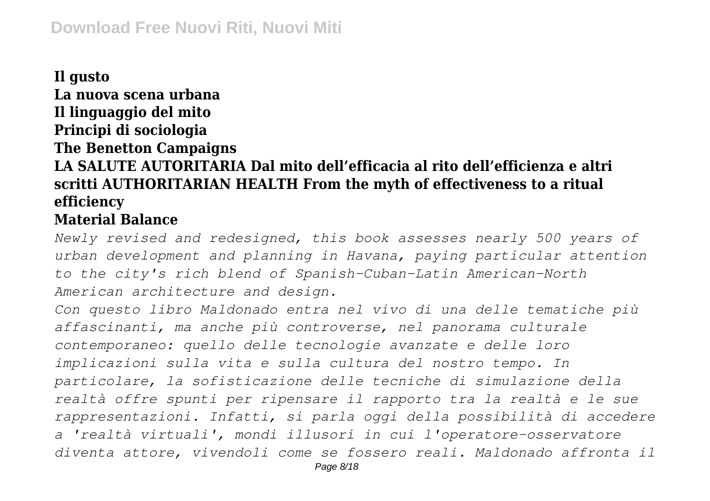## **Il gusto La nuova scena urbana Il linguaggio del mito Principi di sociologia The Benetton Campaigns LA SALUTE AUTORITARIA Dal mito dell'efficacia al rito dell'efficienza e altri scritti AUTHORITARIAN HEALTH From the myth of effectiveness to a ritual efficiency**

#### **Material Balance**

*Newly revised and redesigned, this book assesses nearly 500 years of urban development and planning in Havana, paying particular attention to the city's rich blend of Spanish-Cuban-Latin American-North American architecture and design.*

*Con questo libro Maldonado entra nel vivo di una delle tematiche più affascinanti, ma anche più controverse, nel panorama culturale contemporaneo: quello delle tecnologie avanzate e delle loro implicazioni sulla vita e sulla cultura del nostro tempo. In particolare, la sofisticazione delle tecniche di simulazione della realtà offre spunti per ripensare il rapporto tra la realtà e le sue rappresentazioni. Infatti, si parla oggi della possibilità di accedere a 'realtà virtuali', mondi illusori in cui l'operatore-osservatore diventa attore, vivendoli come se fossero reali. Maldonado affronta il*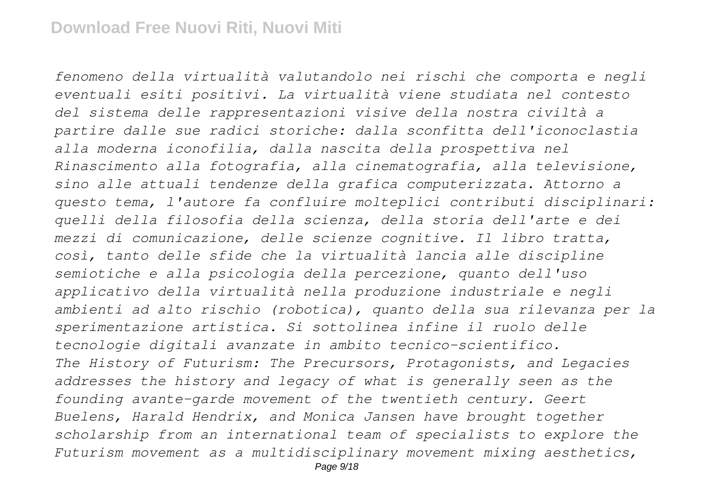*fenomeno della virtualità valutandolo nei rischi che comporta e negli eventuali esiti positivi. La virtualità viene studiata nel contesto del sistema delle rappresentazioni visive della nostra civiltà a partire dalle sue radici storiche: dalla sconfitta dell'iconoclastia alla moderna iconofilia, dalla nascita della prospettiva nel Rinascimento alla fotografia, alla cinematografia, alla televisione, sino alle attuali tendenze della grafica computerizzata. Attorno a questo tema, l'autore fa confluire molteplici contributi disciplinari: quelli della filosofia della scienza, della storia dell'arte e dei mezzi di comunicazione, delle scienze cognitive. Il libro tratta, così, tanto delle sfide che la virtualità lancia alle discipline semiotiche e alla psicologia della percezione, quanto dell'uso applicativo della virtualità nella produzione industriale e negli ambienti ad alto rischio (robotica), quanto della sua rilevanza per la sperimentazione artistica. Si sottolinea infine il ruolo delle tecnologie digitali avanzate in ambito tecnico-scientifico. The History of Futurism: The Precursors, Protagonists, and Legacies addresses the history and legacy of what is generally seen as the founding avante-garde movement of the twentieth century. Geert Buelens, Harald Hendrix, and Monica Jansen have brought together scholarship from an international team of specialists to explore the Futurism movement as a multidisciplinary movement mixing aesthetics,*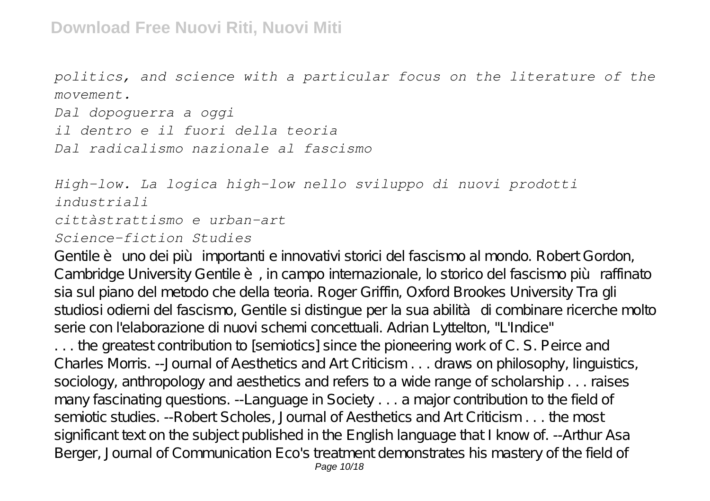*politics, and science with a particular focus on the literature of the movement.*

*Dal dopoguerra a oggi il dentro e il fuori della teoria Dal radicalismo nazionale al fascismo*

*High-low. La logica high-low nello sviluppo di nuovi prodotti industriali cittàstrattismo e urban-art Science-fiction Studies*

Gentile è uno dei più importanti e innovativi storici del fascismo al mondo. Robert Gordon, Cambridge University Gentile è, in campo internazionale, lo storico del fascismo più raffinato sia sul piano del metodo che della teoria. Roger Griffin, Oxford Brookes University Tra gli studiosi odierni del fascismo, Gentile si distingue per la sua abilità di combinare ricerche molto serie con l'elaborazione di nuovi schemi concettuali. Adrian Lyttelton, "L'Indice" . . . the greatest contribution to [semiotics] since the pioneering work of C. S. Peirce and Charles Morris. --Journal of Aesthetics and Art Criticism . . . draws on philosophy, linguistics, sociology, anthropology and aesthetics and refers to a wide range of scholarship . . . raises many fascinating questions. --Language in Society . . . a major contribution to the field of semiotic studies. --Robert Scholes, Journal of Aesthetics and Art Criticism . . . the most significant text on the subject published in the English language that I know of. --Arthur Asa Berger, Journal of Communication Eco's treatment demonstrates his mastery of the field of Page 10/18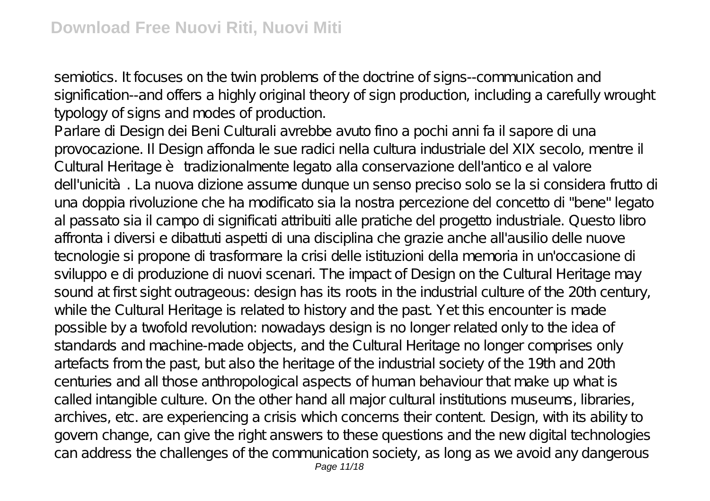semiotics. It focuses on the twin problems of the doctrine of signs--communication and signification--and offers a highly original theory of sign production, including a carefully wrought typology of signs and modes of production.

Parlare di Design dei Beni Culturali avrebbe avuto fino a pochi anni fa il sapore di una provocazione. Il Design affonda le sue radici nella cultura industriale del XIX secolo, mentre il Cultural Heritage è tradizionalmente legato alla conservazione dell'antico e al valore dell'unicità. La nuova dizione assume dunque un senso preciso solo se la si considera frutto di una doppia rivoluzione che ha modificato sia la nostra percezione del concetto di "bene" legato al passato sia il campo di significati attribuiti alle pratiche del progetto industriale. Questo libro affronta i diversi e dibattuti aspetti di una disciplina che grazie anche all'ausilio delle nuove tecnologie si propone di trasformare la crisi delle istituzioni della memoria in un'occasione di sviluppo e di produzione di nuovi scenari. The impact of Design on the Cultural Heritage may sound at first sight outrageous: design has its roots in the industrial culture of the 20th century, while the Cultural Heritage is related to history and the past. Yet this encounter is made possible by a twofold revolution: nowadays design is no longer related only to the idea of standards and machine-made objects, and the Cultural Heritage no longer comprises only artefacts from the past, but also the heritage of the industrial society of the 19th and 20th centuries and all those anthropological aspects of human behaviour that make up what is called intangible culture. On the other hand all major cultural institutions museums, libraries, archives, etc. are experiencing a crisis which concerns their content. Design, with its ability to govern change, can give the right answers to these questions and the new digital technologies can address the challenges of the communication society, as long as we avoid any dangerous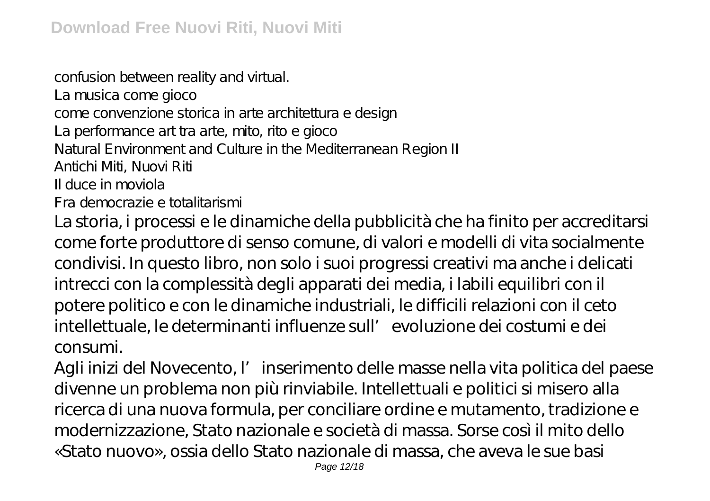confusion between reality and virtual.

La musica come gioco

come convenzione storica in arte architettura e design

La performance art tra arte, mito, rito e gioco

Natural Environment and Culture in the Mediterranean Region II

Antichi Miti, Nuovi Riti

Il duce in moviola

Fra democrazie e totalitarismi

La storia, i processi e le dinamiche della pubblicità che ha finito per accreditarsi come forte produttore di senso comune, di valori e modelli di vita socialmente condivisi. In questo libro, non solo i suoi progressi creativi ma anche i delicati intrecci con la complessità degli apparati dei media, i labili equilibri con il potere politico e con le dinamiche industriali, le difficili relazioni con il ceto intellettuale, le determinanti influenze sull'evoluzione dei costumi e dei consumi.

Agli inizi del Novecento, l'inserimento delle masse nella vita politica del paese divenne un problema non più rinviabile. Intellettuali e politici si misero alla ricerca di una nuova formula, per conciliare ordine e mutamento, tradizione e modernizzazione, Stato nazionale e società di massa. Sorse così il mito dello «Stato nuovo», ossia dello Stato nazionale di massa, che aveva le sue basi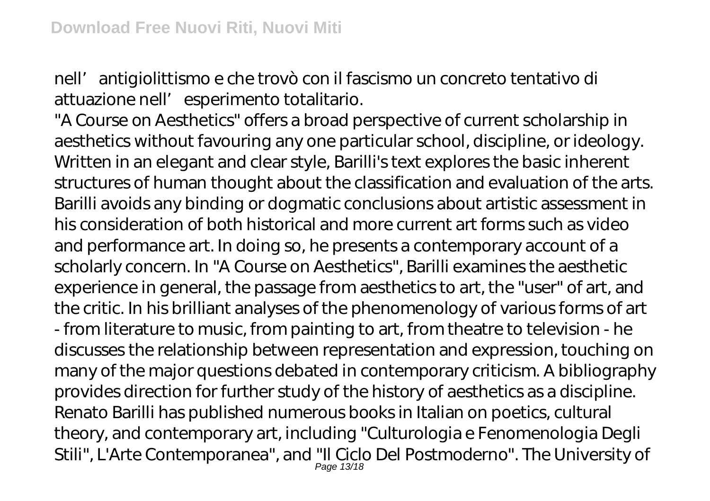nell'antigiolittismo e che trovò con il fascismo un concreto tentativo di attuazione nell' esperimento totalitario.

"A Course on Aesthetics" offers a broad perspective of current scholarship in aesthetics without favouring any one particular school, discipline, or ideology. Written in an elegant and clear style, Barilli's text explores the basic inherent structures of human thought about the classification and evaluation of the arts. Barilli avoids any binding or dogmatic conclusions about artistic assessment in his consideration of both historical and more current art forms such as video and performance art. In doing so, he presents a contemporary account of a scholarly concern. In "A Course on Aesthetics", Barilli examines the aesthetic experience in general, the passage from aesthetics to art, the "user" of art, and the critic. In his brilliant analyses of the phenomenology of various forms of art - from literature to music, from painting to art, from theatre to television - he discusses the relationship between representation and expression, touching on many of the major questions debated in contemporary criticism. A bibliography provides direction for further study of the history of aesthetics as a discipline. Renato Barilli has published numerous books in Italian on poetics, cultural theory, and contemporary art, including "Culturologia e Fenomenologia Degli Stili", L'Arte Contemporanea", and "Il Ciclo Del Postmoderno". The University of Page 13/18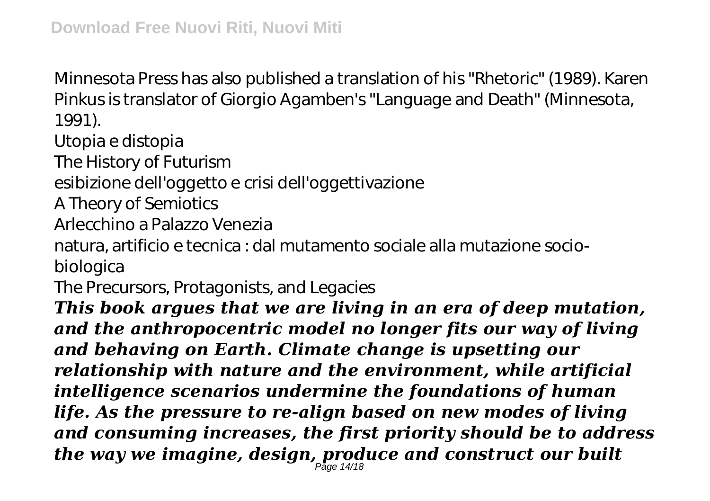Minnesota Press has also published a translation of his "Rhetoric" (1989). Karen Pinkus is translator of Giorgio Agamben's "Language and Death" (Minnesota, 1991).

Utopia e distopia

The History of Futurism

esibizione dell'oggetto e crisi dell'oggettivazione

A Theory of Semiotics

Arlecchino a Palazzo Venezia

natura, artificio e tecnica : dal mutamento sociale alla mutazione sociobiologica

The Precursors, Protagonists, and Legacies

*This book argues that we are living in an era of deep mutation, and the anthropocentric model no longer fits our way of living and behaving on Earth. Climate change is upsetting our relationship with nature and the environment, while artificial intelligence scenarios undermine the foundations of human life. As the pressure to re-align based on new modes of living and consuming increases, the first priority should be to address the way we imagine, design, produce and construct our built* Page 14/18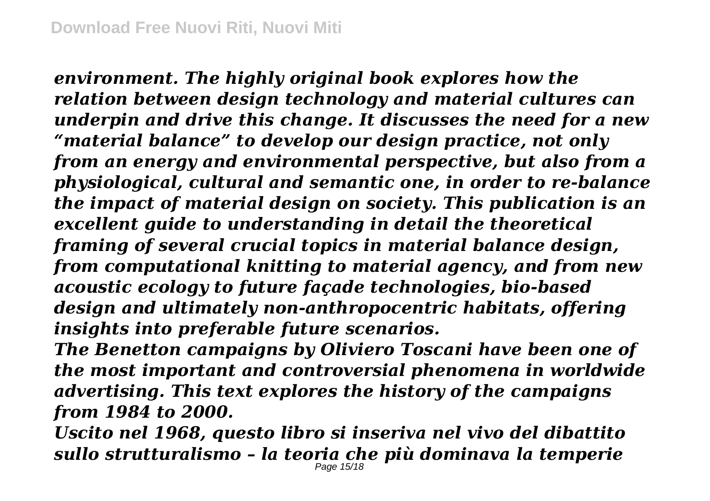*environment. The highly original book explores how the relation between design technology and material cultures can underpin and drive this change. It discusses the need for a new "material balance" to develop our design practice, not only from an energy and environmental perspective, but also from a physiological, cultural and semantic one, in order to re-balance the impact of material design on society. This publication is an excellent guide to understanding in detail the theoretical framing of several crucial topics in material balance design, from computational knitting to material agency, and from new acoustic ecology to future façade technologies, bio-based design and ultimately non-anthropocentric habitats, offering insights into preferable future scenarios.*

*The Benetton campaigns by Oliviero Toscani have been one of the most important and controversial phenomena in worldwide advertising. This text explores the history of the campaigns from 1984 to 2000.*

*Uscito nel 1968, questo libro si inseriva nel vivo del dibattito sullo strutturalismo – la teoria che più dominava la temperie* Page 15/18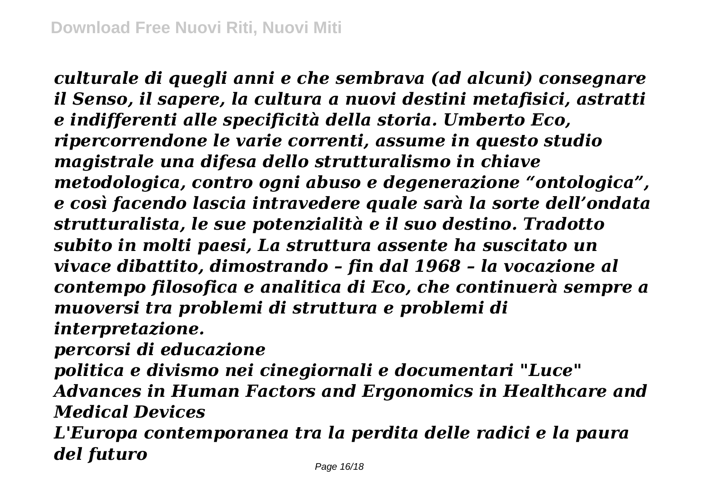*culturale di quegli anni e che sembrava (ad alcuni) consegnare il Senso, il sapere, la cultura a nuovi destini metafisici, astratti e indifferenti alle specificità della storia. Umberto Eco, ripercorrendone le varie correnti, assume in questo studio magistrale una difesa dello strutturalismo in chiave metodologica, contro ogni abuso e degenerazione "ontologica", e così facendo lascia intravedere quale sarà la sorte dell'ondata strutturalista, le sue potenzialità e il suo destino. Tradotto subito in molti paesi, La struttura assente ha suscitato un vivace dibattito, dimostrando – fin dal 1968 – la vocazione al contempo filosofica e analitica di Eco, che continuerà sempre a muoversi tra problemi di struttura e problemi di interpretazione.*

*percorsi di educazione*

*politica e divismo nei cinegiornali e documentari "Luce" Advances in Human Factors and Ergonomics in Healthcare and Medical Devices*

*L'Europa contemporanea tra la perdita delle radici e la paura del futuro*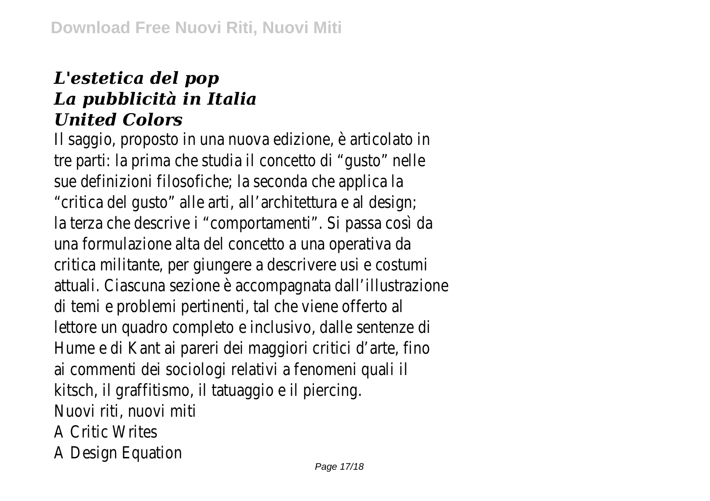## *L'estetica del pop La pubblicità in Italia United Colors*

Il saggio, proposto in una nuova edizione, è articolato in tre parti: la prima che studia il concetto di "gusto" nelle sue definizioni filosofiche; la seconda che applica la "critica del gusto" alle arti, all'architettura e al design; la terza che descrive i "comportamenti". Si passa così da una formulazione alta del concetto a una operativa da critica militante, per giungere a descrivere usi e costumi attuali. Ciascuna sezione è accompagnata dall'illustrazione di temi e problemi pertinenti, tal che viene offerto al lettore un quadro completo e inclusivo, dalle sentenze di Hume e di Kant ai pareri dei maggiori critici d'arte, fino ai commenti dei sociologi relativi a fenomeni quali il kitsch, il graffitismo, il tatuaggio e il piercing. Nuovi riti, nuovi miti A Critic Writes A Design Equation